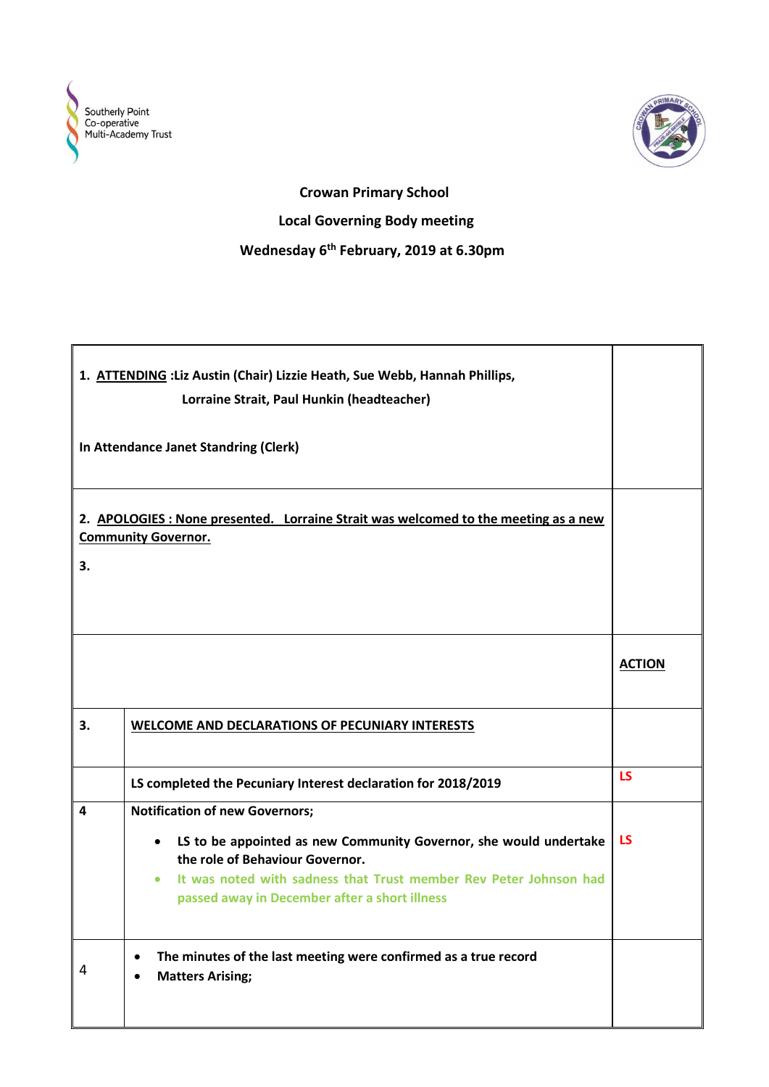



## **Crowan Primary School Local Governing Body meeting Wednesday 6th February, 2019 at 6.30pm**

|    | 1. ATTENDING : Liz Austin (Chair) Lizzie Heath, Sue Webb, Hannah Phillips,<br>Lorraine Strait, Paul Hunkin (headteacher)                                                                                                                                                                      |               |
|----|-----------------------------------------------------------------------------------------------------------------------------------------------------------------------------------------------------------------------------------------------------------------------------------------------|---------------|
|    | In Attendance Janet Standring (Clerk)                                                                                                                                                                                                                                                         |               |
| 3. | 2. APOLOGIES: None presented. Lorraine Strait was welcomed to the meeting as a new<br><b>Community Governor.</b>                                                                                                                                                                              |               |
|    |                                                                                                                                                                                                                                                                                               | <b>ACTION</b> |
| 3. | <b>WELCOME AND DECLARATIONS OF PECUNIARY INTERESTS</b>                                                                                                                                                                                                                                        |               |
|    | LS completed the Pecuniary Interest declaration for 2018/2019                                                                                                                                                                                                                                 | <b>LS</b>     |
| 4  | <b>Notification of new Governors;</b><br>LS to be appointed as new Community Governor, she would undertake<br>$\bullet$<br>the role of Behaviour Governor.<br>It was noted with sadness that Trust member Rev Peter Johnson had<br>$\bullet$<br>passed away in December after a short illness | <b>LS</b>     |
| 4  | The minutes of the last meeting were confirmed as a true record<br>$\bullet$<br><b>Matters Arising;</b>                                                                                                                                                                                       |               |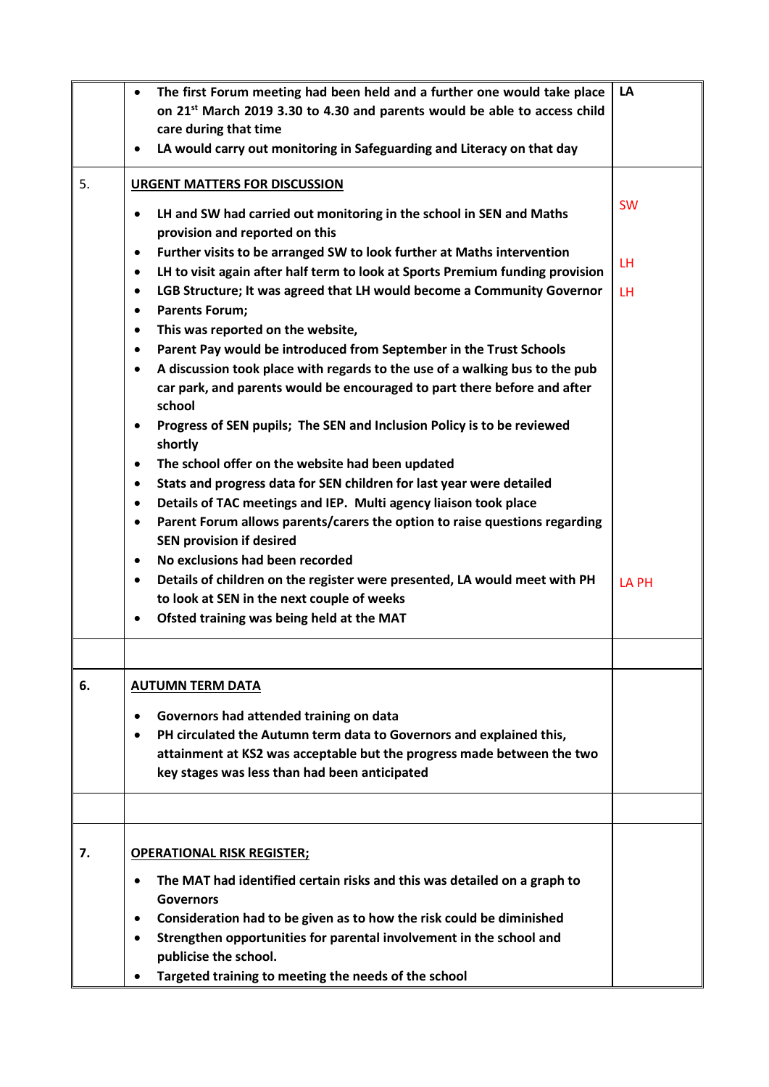|    | The first Forum meeting had been held and a further one would take place<br>$\bullet$<br>on 21 <sup>st</sup> March 2019 3.30 to 4.30 and parents would be able to access child<br>care during that time<br>LA would carry out monitoring in Safeguarding and Literacy on that day<br>$\bullet$                                                                                                                                                                                                                                                                                                                                                                                                                                                                                                                                                                                                                                                                                                                                                                                                                                                                                                                                                                                                                             | LA                     |
|----|----------------------------------------------------------------------------------------------------------------------------------------------------------------------------------------------------------------------------------------------------------------------------------------------------------------------------------------------------------------------------------------------------------------------------------------------------------------------------------------------------------------------------------------------------------------------------------------------------------------------------------------------------------------------------------------------------------------------------------------------------------------------------------------------------------------------------------------------------------------------------------------------------------------------------------------------------------------------------------------------------------------------------------------------------------------------------------------------------------------------------------------------------------------------------------------------------------------------------------------------------------------------------------------------------------------------------|------------------------|
| 5. | <b>URGENT MATTERS FOR DISCUSSION</b><br>LH and SW had carried out monitoring in the school in SEN and Maths<br>$\bullet$<br>provision and reported on this<br>Further visits to be arranged SW to look further at Maths intervention<br>$\bullet$<br>LH to visit again after half term to look at Sports Premium funding provision<br>$\bullet$<br>LGB Structure; It was agreed that LH would become a Community Governor<br>$\bullet$<br><b>Parents Forum;</b><br>$\bullet$<br>This was reported on the website,<br>$\bullet$<br>Parent Pay would be introduced from September in the Trust Schools<br>$\bullet$<br>A discussion took place with regards to the use of a walking bus to the pub<br>$\bullet$<br>car park, and parents would be encouraged to part there before and after<br>school<br>Progress of SEN pupils; The SEN and Inclusion Policy is to be reviewed<br>$\bullet$<br>shortly<br>The school offer on the website had been updated<br>$\bullet$<br>Stats and progress data for SEN children for last year were detailed<br>$\bullet$<br>Details of TAC meetings and IEP. Multi agency liaison took place<br>$\bullet$<br>Parent Forum allows parents/carers the option to raise questions regarding<br>$\bullet$<br><b>SEN provision if desired</b><br>No exclusions had been recorded<br>$\bullet$ | <b>SW</b><br>LH<br>LH. |
|    | Details of children on the register were presented, LA would meet with PH<br>$\bullet$<br>to look at SEN in the next couple of weeks<br>Ofsted training was being held at the MAT<br>$\bullet$                                                                                                                                                                                                                                                                                                                                                                                                                                                                                                                                                                                                                                                                                                                                                                                                                                                                                                                                                                                                                                                                                                                             | <b>LA PH</b>           |
|    |                                                                                                                                                                                                                                                                                                                                                                                                                                                                                                                                                                                                                                                                                                                                                                                                                                                                                                                                                                                                                                                                                                                                                                                                                                                                                                                            |                        |
| 6. | <b>AUTUMN TERM DATA</b><br>Governors had attended training on data<br>$\bullet$<br>PH circulated the Autumn term data to Governors and explained this,<br>$\bullet$<br>attainment at KS2 was acceptable but the progress made between the two<br>key stages was less than had been anticipated                                                                                                                                                                                                                                                                                                                                                                                                                                                                                                                                                                                                                                                                                                                                                                                                                                                                                                                                                                                                                             |                        |
|    |                                                                                                                                                                                                                                                                                                                                                                                                                                                                                                                                                                                                                                                                                                                                                                                                                                                                                                                                                                                                                                                                                                                                                                                                                                                                                                                            |                        |
| 7. | <b>OPERATIONAL RISK REGISTER;</b><br>The MAT had identified certain risks and this was detailed on a graph to<br>$\bullet$<br><b>Governors</b><br>Consideration had to be given as to how the risk could be diminished<br>$\bullet$<br>Strengthen opportunities for parental involvement in the school and<br>$\bullet$<br>publicise the school.<br>Targeted training to meeting the needs of the school                                                                                                                                                                                                                                                                                                                                                                                                                                                                                                                                                                                                                                                                                                                                                                                                                                                                                                                   |                        |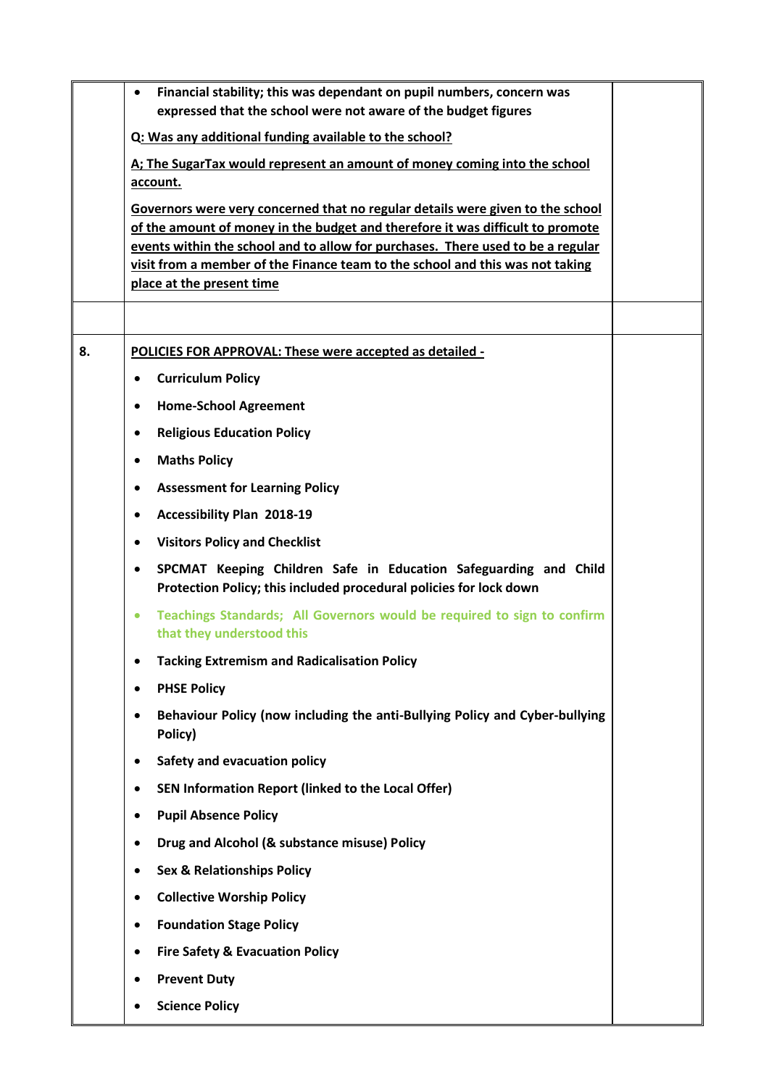|    | Financial stability; this was dependant on pupil numbers, concern was<br>٠<br>expressed that the school were not aware of the budget figures                      |  |
|----|-------------------------------------------------------------------------------------------------------------------------------------------------------------------|--|
|    | Q: Was any additional funding available to the school?                                                                                                            |  |
|    | A; The SugarTax would represent an amount of money coming into the school                                                                                         |  |
|    | account.                                                                                                                                                          |  |
|    | Governors were very concerned that no regular details were given to the school                                                                                    |  |
|    | of the amount of money in the budget and therefore it was difficult to promote<br>events within the school and to allow for purchases. There used to be a regular |  |
|    | visit from a member of the Finance team to the school and this was not taking                                                                                     |  |
|    | place at the present time                                                                                                                                         |  |
|    |                                                                                                                                                                   |  |
| 8. | POLICIES FOR APPROVAL: These were accepted as detailed -                                                                                                          |  |
|    | <b>Curriculum Policy</b><br>$\bullet$                                                                                                                             |  |
|    | <b>Home-School Agreement</b><br>$\bullet$                                                                                                                         |  |
|    | <b>Religious Education Policy</b><br>$\bullet$                                                                                                                    |  |
|    | <b>Maths Policy</b>                                                                                                                                               |  |
|    | <b>Assessment for Learning Policy</b><br>$\bullet$                                                                                                                |  |
|    | <b>Accessibility Plan 2018-19</b>                                                                                                                                 |  |
|    | <b>Visitors Policy and Checklist</b><br>$\bullet$                                                                                                                 |  |
|    | SPCMAT Keeping Children Safe in Education Safeguarding and Child<br>$\bullet$<br>Protection Policy; this included procedural policies for lock down               |  |
|    | Teachings Standards; All Governors would be required to sign to confirm<br>$\bullet$<br>that they understood this                                                 |  |
|    | <b>Tacking Extremism and Radicalisation Policy</b>                                                                                                                |  |
|    | <b>PHSE Policy</b>                                                                                                                                                |  |
|    | Behaviour Policy (now including the anti-Bullying Policy and Cyber-bullying<br>Policy)                                                                            |  |
|    | Safety and evacuation policy<br>$\bullet$                                                                                                                         |  |
|    | SEN Information Report (linked to the Local Offer)<br>٠                                                                                                           |  |
|    | <b>Pupil Absence Policy</b><br>٠                                                                                                                                  |  |
|    | Drug and Alcohol (& substance misuse) Policy<br>$\bullet$                                                                                                         |  |
|    | <b>Sex &amp; Relationships Policy</b>                                                                                                                             |  |
|    | <b>Collective Worship Policy</b><br>$\bullet$                                                                                                                     |  |
|    | <b>Foundation Stage Policy</b><br>$\bullet$                                                                                                                       |  |
|    | <b>Fire Safety &amp; Evacuation Policy</b><br>$\bullet$                                                                                                           |  |
|    | <b>Prevent Duty</b>                                                                                                                                               |  |
|    | <b>Science Policy</b>                                                                                                                                             |  |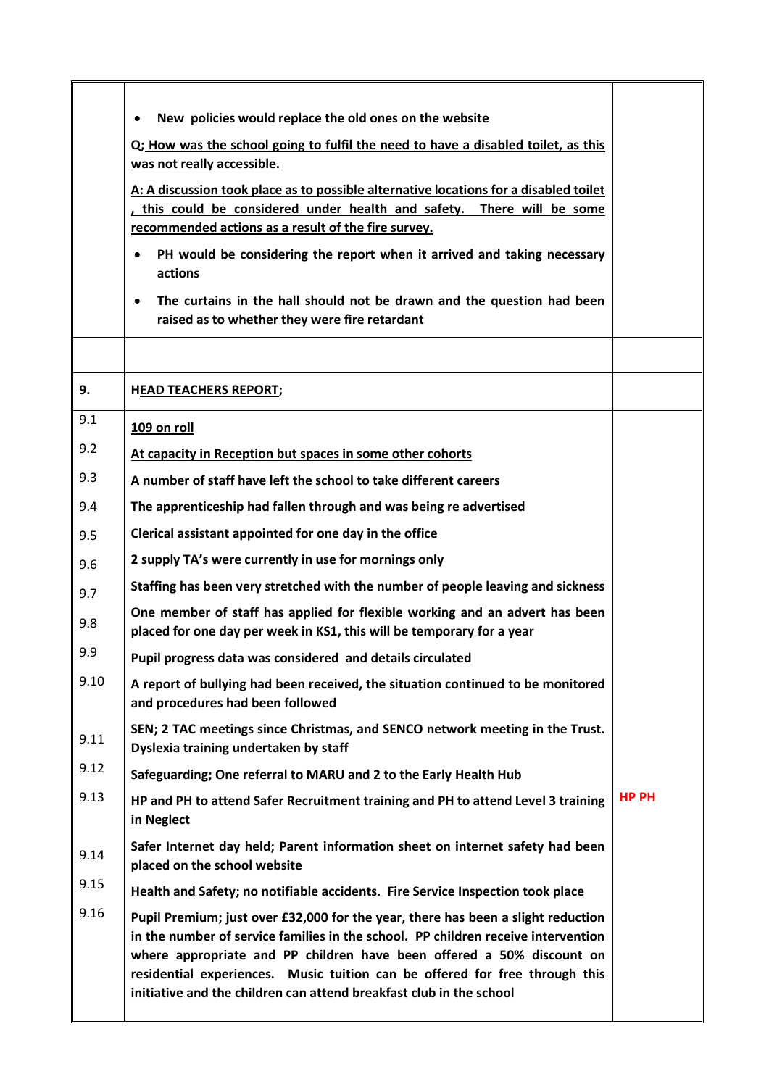|      | New policies would replace the old ones on the website<br>$\bullet$                                                                                                                                                                                                                                                                                                                                  |              |
|------|------------------------------------------------------------------------------------------------------------------------------------------------------------------------------------------------------------------------------------------------------------------------------------------------------------------------------------------------------------------------------------------------------|--------------|
|      | Q; How was the school going to fulfil the need to have a disabled toilet, as this<br>was not really accessible.                                                                                                                                                                                                                                                                                      |              |
|      | A: A discussion took place as to possible alternative locations for a disabled toilet<br>, this could be considered under health and safety. There will be some<br>recommended actions as a result of the fire survey.                                                                                                                                                                               |              |
|      | PH would be considering the report when it arrived and taking necessary<br>actions                                                                                                                                                                                                                                                                                                                   |              |
|      | The curtains in the hall should not be drawn and the question had been<br>$\bullet$<br>raised as to whether they were fire retardant                                                                                                                                                                                                                                                                 |              |
|      |                                                                                                                                                                                                                                                                                                                                                                                                      |              |
| 9.   | <b>HEAD TEACHERS REPORT;</b>                                                                                                                                                                                                                                                                                                                                                                         |              |
| 9.1  | 109 on roll                                                                                                                                                                                                                                                                                                                                                                                          |              |
| 9.2  | At capacity in Reception but spaces in some other cohorts                                                                                                                                                                                                                                                                                                                                            |              |
| 9.3  | A number of staff have left the school to take different careers                                                                                                                                                                                                                                                                                                                                     |              |
| 9.4  | The apprenticeship had fallen through and was being re advertised                                                                                                                                                                                                                                                                                                                                    |              |
| 9.5  | Clerical assistant appointed for one day in the office                                                                                                                                                                                                                                                                                                                                               |              |
| 9.6  | 2 supply TA's were currently in use for mornings only                                                                                                                                                                                                                                                                                                                                                |              |
| 9.7  | Staffing has been very stretched with the number of people leaving and sickness                                                                                                                                                                                                                                                                                                                      |              |
| 9.8  | One member of staff has applied for flexible working and an advert has been<br>placed for one day per week in KS1, this will be temporary for a year                                                                                                                                                                                                                                                 |              |
| 9.9  | Pupil progress data was considered and details circulated                                                                                                                                                                                                                                                                                                                                            |              |
| 9.10 | A report of bullying had been received, the situation continued to be monitored<br>and procedures had been followed                                                                                                                                                                                                                                                                                  |              |
| 9.11 | SEN; 2 TAC meetings since Christmas, and SENCO network meeting in the Trust.<br>Dyslexia training undertaken by staff                                                                                                                                                                                                                                                                                |              |
| 9.12 | Safeguarding; One referral to MARU and 2 to the Early Health Hub                                                                                                                                                                                                                                                                                                                                     |              |
| 9.13 | HP and PH to attend Safer Recruitment training and PH to attend Level 3 training<br>in Neglect                                                                                                                                                                                                                                                                                                       | <b>HP PH</b> |
| 9.14 | Safer Internet day held; Parent information sheet on internet safety had been<br>placed on the school website                                                                                                                                                                                                                                                                                        |              |
| 9.15 | Health and Safety; no notifiable accidents. Fire Service Inspection took place                                                                                                                                                                                                                                                                                                                       |              |
| 9.16 | Pupil Premium; just over £32,000 for the year, there has been a slight reduction<br>in the number of service families in the school. PP children receive intervention<br>where appropriate and PP children have been offered a 50% discount on<br>residential experiences. Music tuition can be offered for free through this<br>initiative and the children can attend breakfast club in the school |              |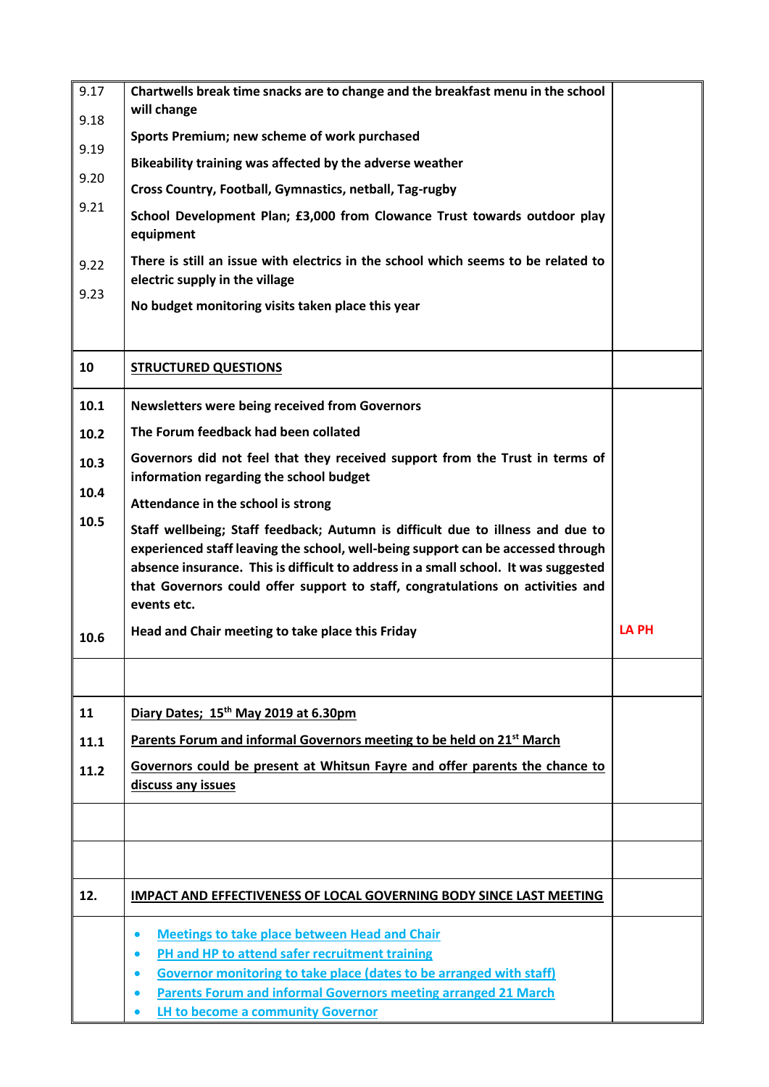| 9.17 | Chartwells break time snacks are to change and the breakfast menu in the school                                                                                                                                                                                                                                                                            |              |
|------|------------------------------------------------------------------------------------------------------------------------------------------------------------------------------------------------------------------------------------------------------------------------------------------------------------------------------------------------------------|--------------|
| 9.18 | will change                                                                                                                                                                                                                                                                                                                                                |              |
| 9.19 | Sports Premium; new scheme of work purchased                                                                                                                                                                                                                                                                                                               |              |
| 9.20 | Bikeability training was affected by the adverse weather                                                                                                                                                                                                                                                                                                   |              |
|      | Cross Country, Football, Gymnastics, netball, Tag-rugby                                                                                                                                                                                                                                                                                                    |              |
| 9.21 | School Development Plan; £3,000 from Clowance Trust towards outdoor play<br>equipment                                                                                                                                                                                                                                                                      |              |
| 9.22 | There is still an issue with electrics in the school which seems to be related to<br>electric supply in the village                                                                                                                                                                                                                                        |              |
| 9.23 | No budget monitoring visits taken place this year                                                                                                                                                                                                                                                                                                          |              |
|      |                                                                                                                                                                                                                                                                                                                                                            |              |
| 10   | <b>STRUCTURED QUESTIONS</b>                                                                                                                                                                                                                                                                                                                                |              |
| 10.1 | <b>Newsletters were being received from Governors</b>                                                                                                                                                                                                                                                                                                      |              |
| 10.2 | The Forum feedback had been collated                                                                                                                                                                                                                                                                                                                       |              |
| 10.3 | Governors did not feel that they received support from the Trust in terms of<br>information regarding the school budget                                                                                                                                                                                                                                    |              |
| 10.4 | Attendance in the school is strong                                                                                                                                                                                                                                                                                                                         |              |
| 10.5 | Staff wellbeing; Staff feedback; Autumn is difficult due to illness and due to<br>experienced staff leaving the school, well-being support can be accessed through<br>absence insurance. This is difficult to address in a small school. It was suggested<br>that Governors could offer support to staff, congratulations on activities and<br>events etc. |              |
| 10.6 | Head and Chair meeting to take place this Friday                                                                                                                                                                                                                                                                                                           | <b>LA PH</b> |
|      |                                                                                                                                                                                                                                                                                                                                                            |              |
| 11   | Diary Dates; 15th May 2019 at 6.30pm                                                                                                                                                                                                                                                                                                                       |              |
| 11.1 | Parents Forum and informal Governors meeting to be held on 21 <sup>st</sup> March                                                                                                                                                                                                                                                                          |              |
| 11.2 | Governors could be present at Whitsun Fayre and offer parents the chance to                                                                                                                                                                                                                                                                                |              |
|      | discuss any issues                                                                                                                                                                                                                                                                                                                                         |              |
|      |                                                                                                                                                                                                                                                                                                                                                            |              |
|      |                                                                                                                                                                                                                                                                                                                                                            |              |
| 12.  | <b>IMPACT AND EFFECTIVENESS OF LOCAL GOVERNING BODY SINCE LAST MEETING</b>                                                                                                                                                                                                                                                                                 |              |
|      | <b>Meetings to take place between Head and Chair</b><br>$\bullet$                                                                                                                                                                                                                                                                                          |              |
|      | PH and HP to attend safer recruitment training<br>$\bullet$                                                                                                                                                                                                                                                                                                |              |
|      | Governor monitoring to take place (dates to be arranged with staff)<br>$\bullet$                                                                                                                                                                                                                                                                           |              |
|      | Parents Forum and informal Governors meeting arranged 21 March<br>LH to become a community Governor                                                                                                                                                                                                                                                        |              |